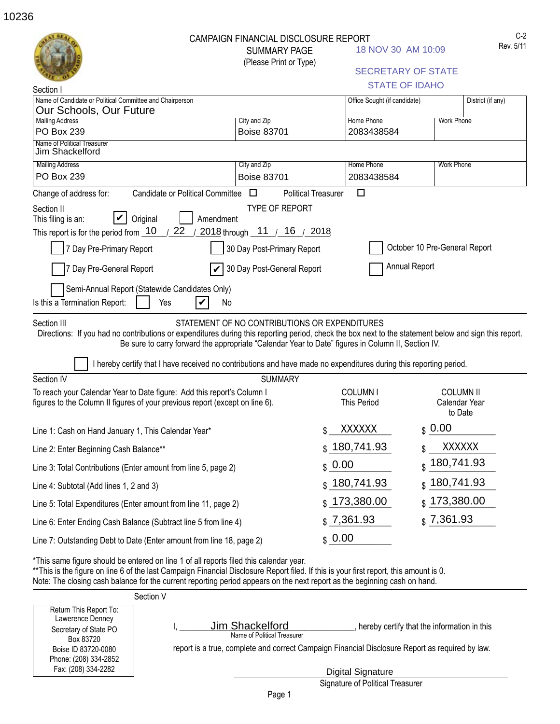|                                                                                                                                                                                                                                                                                                                                                               | CAMPAIGN FINANCIAL DISCLOSURE REPORT          |                                                                                                    | C-2<br>Rev. 5/11                            |
|---------------------------------------------------------------------------------------------------------------------------------------------------------------------------------------------------------------------------------------------------------------------------------------------------------------------------------------------------------------|-----------------------------------------------|----------------------------------------------------------------------------------------------------|---------------------------------------------|
|                                                                                                                                                                                                                                                                                                                                                               | <b>SUMMARY PAGE</b><br>(Please Print or Type) | 18 NOV 30 AM 10:09                                                                                 |                                             |
|                                                                                                                                                                                                                                                                                                                                                               |                                               |                                                                                                    | <b>SECRETARY OF STATE</b>                   |
| Section                                                                                                                                                                                                                                                                                                                                                       |                                               |                                                                                                    | <b>STATE OF IDAHO</b>                       |
| Name of Candidate or Political Committee and Chairperson<br>Our Schools, Our Future                                                                                                                                                                                                                                                                           |                                               | Office Sought (if candidate)                                                                       | District (if any)                           |
| <b>Mailing Address</b>                                                                                                                                                                                                                                                                                                                                        | City and Zip                                  | <b>Home Phone</b>                                                                                  | <b>Work Phone</b>                           |
| PO Box 239                                                                                                                                                                                                                                                                                                                                                    | <b>Boise 83701</b>                            | 2083438584                                                                                         |                                             |
| Name of Political Treasurer<br>Jim Shackelford                                                                                                                                                                                                                                                                                                                |                                               |                                                                                                    |                                             |
| <b>Mailing Address</b>                                                                                                                                                                                                                                                                                                                                        | City and Zip                                  | <b>Home Phone</b>                                                                                  | <b>Work Phone</b>                           |
| PO Box 239                                                                                                                                                                                                                                                                                                                                                    | <b>Boise 83701</b>                            | 2083438584                                                                                         |                                             |
| Candidate or Political Committee<br>Change of address for:                                                                                                                                                                                                                                                                                                    | $\Box$                                        | $\Box$<br><b>Political Treasurer</b>                                                               |                                             |
| Section II<br>Original<br>This filing is an:                                                                                                                                                                                                                                                                                                                  | <b>TYPE OF REPORT</b><br>Amendment            |                                                                                                    |                                             |
| 22<br>This report is for the period from 10                                                                                                                                                                                                                                                                                                                   | 2018 through 11 / 16 / 2018                   |                                                                                                    |                                             |
| 7 Day Pre-Primary Report                                                                                                                                                                                                                                                                                                                                      | 30 Day Post-Primary Report                    |                                                                                                    | October 10 Pre-General Report               |
| 7 Day Pre-General Report                                                                                                                                                                                                                                                                                                                                      | 30 Day Post-General Report                    |                                                                                                    | Annual Report                               |
| Semi-Annual Report (Statewide Candidates Only)                                                                                                                                                                                                                                                                                                                |                                               |                                                                                                    |                                             |
| Is this a Termination Report:<br>Yes                                                                                                                                                                                                                                                                                                                          | No<br>V                                       |                                                                                                    |                                             |
| Section III<br>Directions: If you had no contributions or expenditures during this reporting period, check the box next to the statement below and sign this report.                                                                                                                                                                                          | STATEMENT OF NO CONTRIBUTIONS OR EXPENDITURES | Be sure to carry forward the appropriate "Calendar Year to Date" figures in Column II, Section IV. |                                             |
| I hereby certify that I have received no contributions and have made no expenditures during this reporting period.                                                                                                                                                                                                                                            |                                               |                                                                                                    |                                             |
| Section IV<br>To reach your Calendar Year to Date figure: Add this report's Column I                                                                                                                                                                                                                                                                          | <b>SUMMARY</b>                                | <b>COLUMN I</b>                                                                                    | <b>COLUMN II</b>                            |
| figures to the Column II figures of your previous report (except on line 6).                                                                                                                                                                                                                                                                                  |                                               | <b>This Period</b>                                                                                 | Calendar Year<br>to Date                    |
| Line 1: Cash on Hand January 1, This Calendar Year'                                                                                                                                                                                                                                                                                                           |                                               | <b>XXXXXX</b><br>Φ                                                                                 | \$0.00                                      |
| Line 2: Enter Beginning Cash Balance**                                                                                                                                                                                                                                                                                                                        |                                               | \$180,741.93                                                                                       | <b>XXXXXX</b>                               |
| Line 3: Total Contributions (Enter amount from line 5, page 2)                                                                                                                                                                                                                                                                                                |                                               | \$0.00                                                                                             | 180,741.93<br>\$                            |
| Line 4: Subtotal (Add lines 1, 2 and 3)                                                                                                                                                                                                                                                                                                                       |                                               | 180,741.93                                                                                         | 180,741.93<br>\$.                           |
| Line 5: Total Expenditures (Enter amount from line 11, page 2)                                                                                                                                                                                                                                                                                                |                                               | 173,380.00                                                                                         | $\frac{1}{9}$ 173,380.00                    |
| Line 6: Enter Ending Cash Balance (Subtract line 5 from line 4)                                                                                                                                                                                                                                                                                               |                                               | 7,361.93                                                                                           | \$7,361.93                                  |
| Line 7: Outstanding Debt to Date (Enter amount from line 18, page 2)                                                                                                                                                                                                                                                                                          |                                               | \$0.00                                                                                             |                                             |
| *This same figure should be entered on line 1 of all reports filed this calendar year.<br>**This is the figure on line 6 of the last Campaign Financial Disclosure Report filed. If this is your first report, this amount is 0.<br>Note: The closing cash balance for the current reporting period appears on the next report as the beginning cash on hand. |                                               |                                                                                                    |                                             |
| Section V                                                                                                                                                                                                                                                                                                                                                     |                                               |                                                                                                    |                                             |
| Return This Report To:                                                                                                                                                                                                                                                                                                                                        |                                               |                                                                                                    |                                             |
| Lawerence Denney<br>Secretary of State PO                                                                                                                                                                                                                                                                                                                     | Jim Shackelford                               |                                                                                                    | hereby certify that the information in this |

Lawerence Denney Secretary of State PO Box 83720 Boise ID 83720-0080 Phone: (208) 334-2852 Fax: (208) 334-2282

report is a true, complete and correct Campaign Financial Disclosure Report as required by law.

Signature of Political Treasurer Digital Signature

Name of Political Treasurer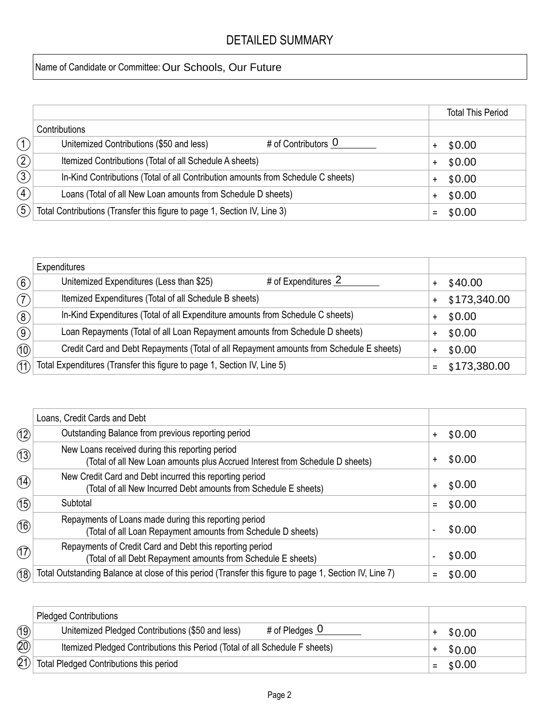## DETAILED SUMMARY

## Name of Candidate or Committee: Our Schools, Our Future

|                |                                                                                  |  | <b>Total This Period</b> |
|----------------|----------------------------------------------------------------------------------|--|--------------------------|
|                | Contributions                                                                    |  |                          |
|                | # of Contributors 0<br>Unitemized Contributions (\$50 and less)                  |  | \$0.00                   |
| $\widehat{2}$  | Itemized Contributions (Total of all Schedule A sheets)                          |  | \$0.00                   |
| $\overline{3}$ | In-Kind Contributions (Total of all Contribution amounts from Schedule C sheets) |  | \$0.00                   |
| $\bigoplus$    | Loans (Total of all New Loan amounts from Schedule D sheets)                     |  | \$0.00                   |
| $\widehat{5)}$ | Total Contributions (Transfer this figure to page 1, Section IV, Line 3)         |  | $=$ \$0.00               |

|                                                | Expenditures                                                                            |           |              |
|------------------------------------------------|-----------------------------------------------------------------------------------------|-----------|--------------|
| $\left( 6\right)$                              | # of Expenditures 2<br>Unitemized Expenditures (Less than \$25)                         | $\ddot{}$ | \$40.00      |
| (7)                                            | Itemized Expenditures (Total of all Schedule B sheets)                                  | $+$       | \$173,340.00 |
| $\left( \begin{matrix} 8 \end{matrix} \right)$ | In-Kind Expenditures (Total of all Expenditure amounts from Schedule C sheets)          | $\ddot{}$ | \$0.00       |
| $\circled{9}$                                  | Loan Repayments (Total of all Loan Repayment amounts from Schedule D sheets)            | $+$       | \$0.00       |
| (10)                                           | Credit Card and Debt Repayments (Total of all Repayment amounts from Schedule E sheets) | $\ddot{}$ | \$0.00       |
| 11)                                            | Total Expenditures (Transfer this figure to page 1, Section IV, Line 5)                 | $=$       | \$173,380.00 |

|                             | Loans, Credit Cards and Debt                                                                                                    |                     |
|-----------------------------|---------------------------------------------------------------------------------------------------------------------------------|---------------------|
| $\circled{12}$              | Outstanding Balance from previous reporting period                                                                              | \$0.00<br>$\ddot{}$ |
| (13)                        | New Loans received during this reporting period<br>(Total of all New Loan amounts plus Accrued Interest from Schedule D sheets) | \$0.00<br>+         |
| (14)                        | New Credit Card and Debt incurred this reporting period<br>(Total of all New Incurred Debt amounts from Schedule E sheets)      | \$0.00<br>$\ddot{}$ |
| (15)                        | Subtotal                                                                                                                        | \$0.00              |
| $\circledA$                 | Repayments of Loans made during this reporting period<br>(Total of all Loan Repayment amounts from Schedule D sheets)           | \$0.00              |
| $\left(\widehat{17}\right)$ | Repayments of Credit Card and Debt this reporting period<br>(Total of all Debt Repayment amounts from Schedule E sheets)        | \$0.00              |
| (18)                        | Total Outstanding Balance at close of this period (Transfer this figure to page 1, Section IV, Line 7)                          | \$0.00              |

|      | <b>Pledged Contributions</b>                                                    |        |
|------|---------------------------------------------------------------------------------|--------|
| (19) | # of Pledges $\overline{0}$<br>Unitemized Pledged Contributions (\$50 and less) | \$0.00 |
| (20) | Itemized Pledged Contributions this Period (Total of all Schedule F sheets)     | \$0.00 |
| (2)  | Total Pledged Contributions this period                                         | \$0.00 |